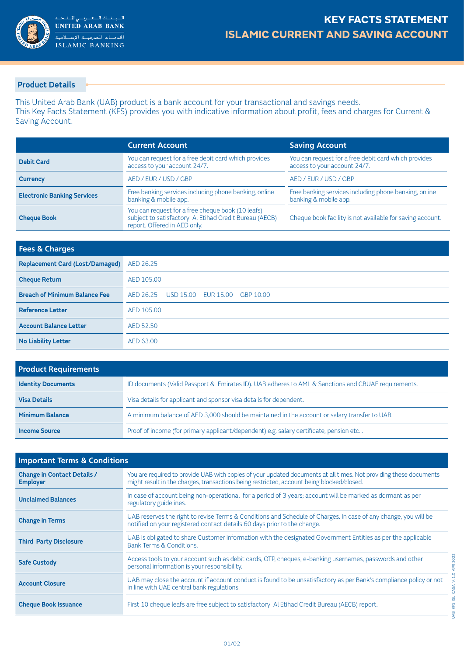

## **Product Details**

This United Arab Bank (UAB) product is a bank account for your transactional and savings needs. This Key Facts Statement (KFS) provides you with indicative information about profit, fees and charges for Current & Saving Account.

|                                    | <b>Current Account</b>                                                                                                                      | <b>Saving Account</b>                                                                |
|------------------------------------|---------------------------------------------------------------------------------------------------------------------------------------------|--------------------------------------------------------------------------------------|
| <b>Debit Card</b>                  | You can request for a free debit card which provides<br>access to your account 24/7.                                                        | You can request for a free debit card which provides<br>access to your account 24/7. |
| <b>Currency</b>                    | AED / EUR / USD / GBP                                                                                                                       | AED / EUR / USD / GBP                                                                |
| <b>Electronic Banking Services</b> | Free banking services including phone banking, online<br>banking & mobile app.                                                              | Free banking services including phone banking, online<br>banking & mobile app.       |
| <b>Cheque Book</b>                 | You can request for a free cheque book (10 leafs)<br>subject to satisfactory Al Etihad Credit Bureau (AECB)<br>report. Offered in AED only. | Cheque book facility is not available for saving account.                            |

| <b>Fees &amp; Charges</b>              |                        |
|----------------------------------------|------------------------|
| <b>Replacement Card (Lost/Damaged)</b> | AED 26.25              |
| <b>Cheque Return</b>                   | AED 105.00             |
| <b>Breach of Minimum Balance Fee</b>   | AED 26.25<br>GBP 10.00 |
| <b>Reference Letter</b>                | AED 105.00             |
| <b>Account Balance Letter</b>          | AED 52.50              |
| <b>No Liability Letter</b>             | AED 63.00              |

| <b>Product Requirements</b> |                                                                                                     |  |
|-----------------------------|-----------------------------------------------------------------------------------------------------|--|
| <b>Identity Documents</b>   | ID documents (Valid Passport & Emirates ID). UAB adheres to AML & Sanctions and CBUAE requirements. |  |
| <b>Visa Details</b>         | Visa details for applicant and sponsor visa details for dependent.                                  |  |
| <b>Minimum Balance</b>      | A minimum balance of AED 3,000 should be maintained in the account or salary transfer to UAB.       |  |
| <b>Income Source</b>        | Proof of income (for primary applicant/dependent) e.g. salary certificate, pension etc              |  |

| <b>Important Terms &amp; Conditions</b>               |                                                                                                                                                                                                                |  |
|-------------------------------------------------------|----------------------------------------------------------------------------------------------------------------------------------------------------------------------------------------------------------------|--|
| <b>Change in Contact Details /</b><br><b>Employer</b> | You are required to provide UAB with copies of your updated documents at all times. Not providing these documents<br>might result in the charges, transactions being restricted, account being blocked/closed. |  |
| <b>Unclaimed Balances</b>                             | In case of account being non-operational for a period of 3 years; account will be marked as dormant as per<br>regulatory guidelines.                                                                           |  |
| <b>Change in Terms</b>                                | UAB reserves the right to revise Terms & Conditions and Schedule of Charges. In case of any change, you will be<br>notified on your registered contact details 60 days prior to the change.                    |  |
| <b>Third Party Disclosure</b>                         | UAB is obligated to share Customer information with the designated Government Entities as per the applicable<br><b>Bank Terms &amp; Conditions.</b>                                                            |  |
| <b>Safe Custody</b>                                   | Access tools to your account such as debit cards, OTP, cheques, e-banking usernames, passwords and other<br>personal information is your responsibility.                                                       |  |
| <b>Account Closure</b>                                | UAB may close the account if account conduct is found to be unsatisfactory as per Bank's compliance policy or not<br>in line with UAE central bank regulations.                                                |  |
| <b>Cheque Book Issuance</b>                           | First 10 cheque leafs are free subject to satisfactory Al Etihad Credit Bureau (AECB) report.                                                                                                                  |  |